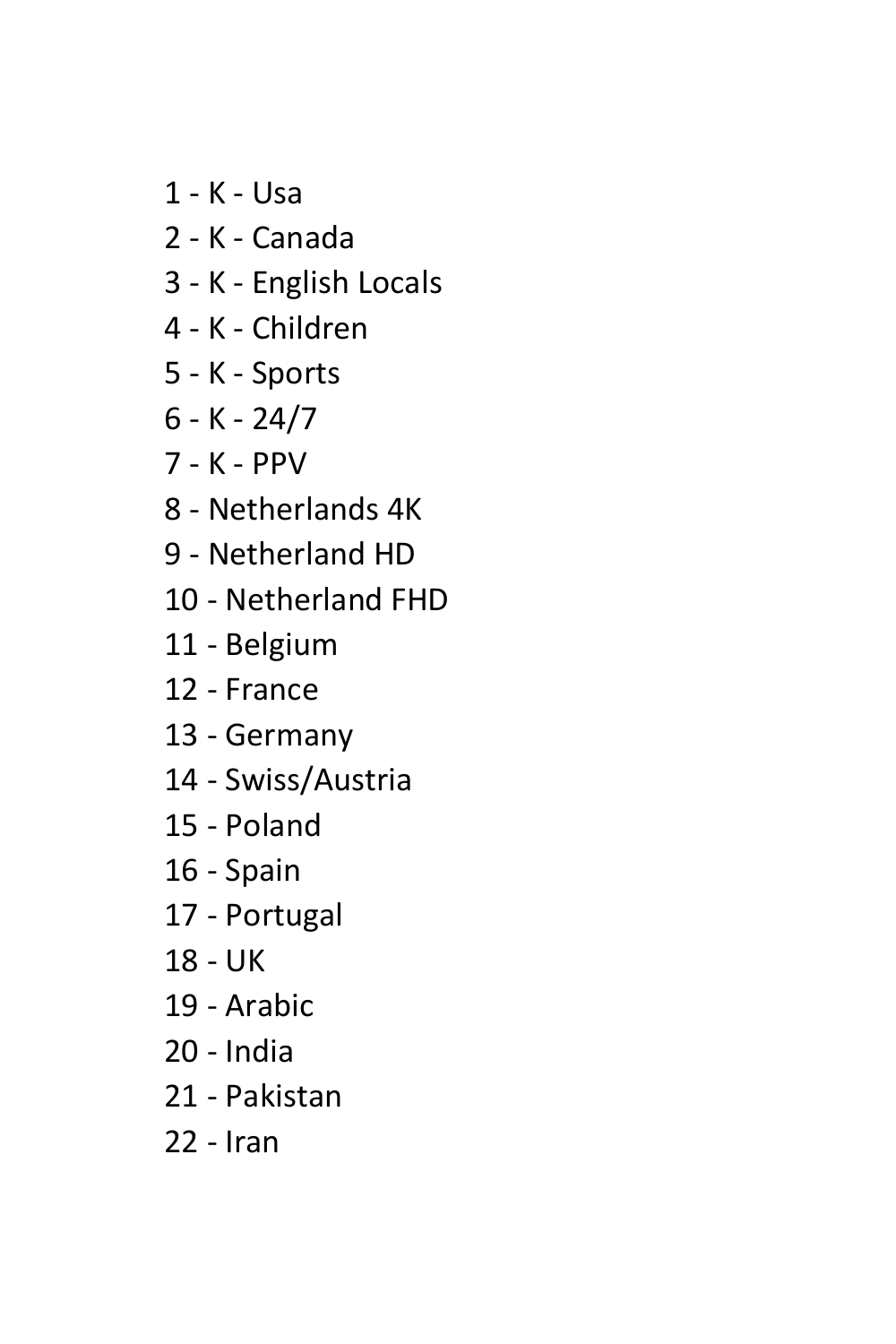- 1 K Usa
- 2 K Canada
- 3 K English Locals
- 4 K Children
- 5 K Sports
- 6 K 24/7
- 7 K PPV
- 8 Netherlands 4K
- 9 Netherland HD
- 10 Netherland FHD
- 11 Belgium
- 12 France
- 13 Germany
- 14 Swiss/Austria
- 15 Poland
- 16 Spain
- 17 Portugal
- 18 UK
- 19 Arabic
- 20 India
- 21 Pakistan
- 22 Iran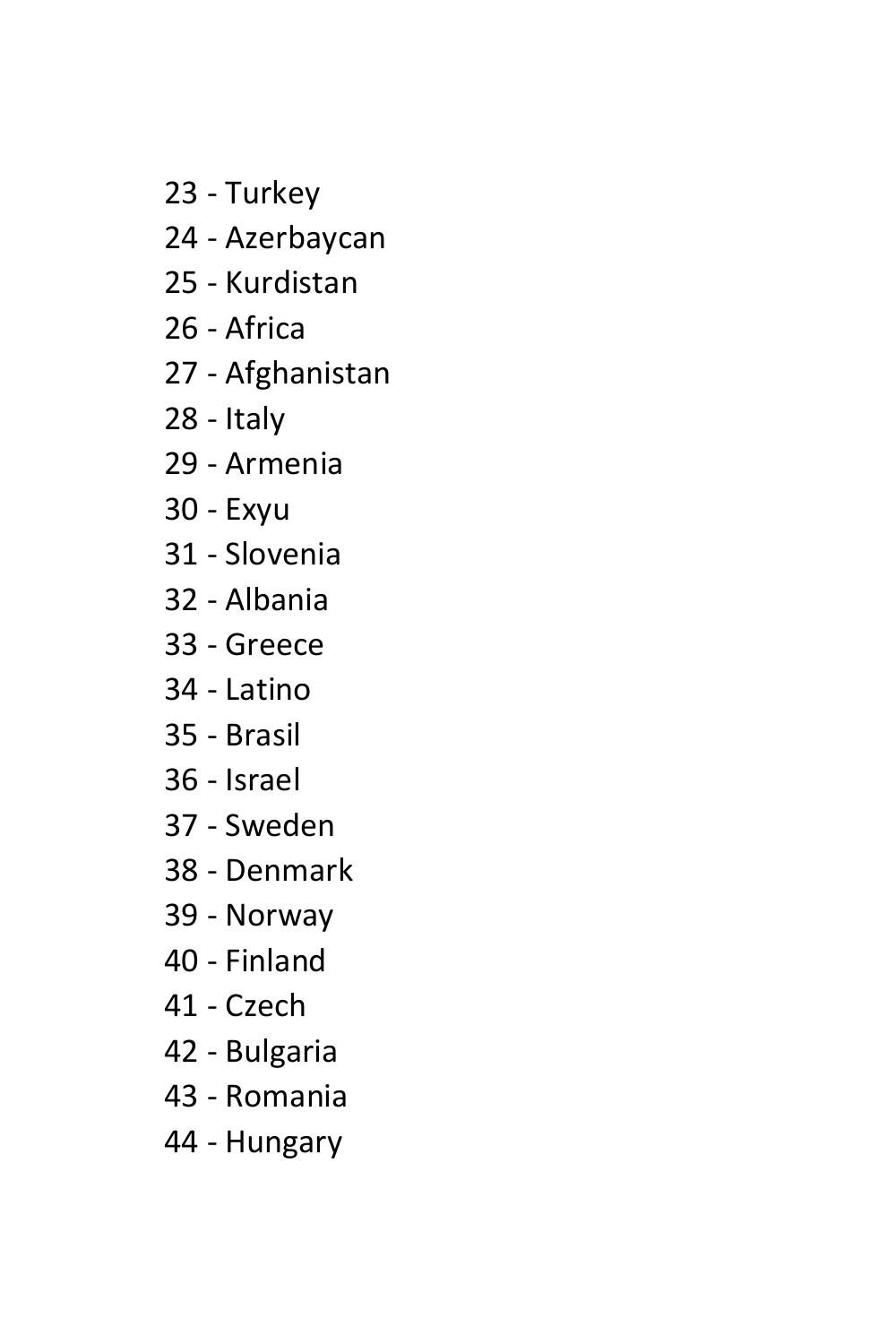- 23 Turkey
- 24 Azerbaycan
- 25 Kurdistan
- 26 Africa
- 27 Afghanistan
- 28 Italy
- 29 Armenia
- 30 Exyu
- 31 Slovenia
- 32 Albania
- 33 Greece
- 34 Latino
- 35 Brasil
- 36 Israel
- 37 Sweden
- 38 Denmark
- 39 Norway
- 40 Finland
- 41 Czech
- 42 Bulgaria
- 43 Romania
- 44 Hungary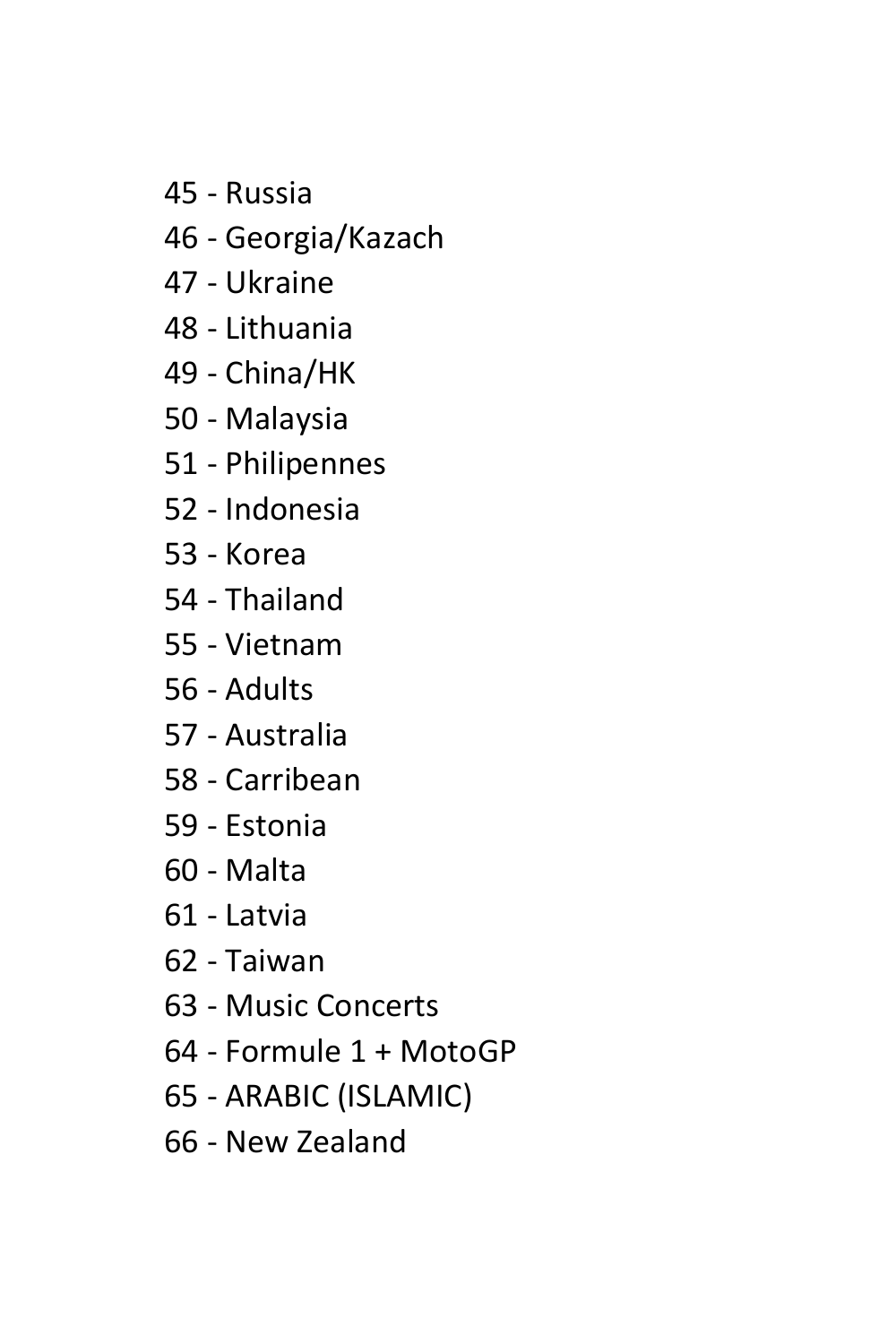- 45 Russia
- 46 Georgia/Kazach
- 47 Ukraine
- 48 Lithuania
- 49 China/HK
- 50 Malaysia
- 51 Philipennes
- 52 Indonesia
- 53 Korea
- 54 Thailand
- 55 Vietnam
- 56 Adults
- 57 Australia
- 58 Carribean
- 59 Estonia
- 60 Malta
- 61 Latvia
- 62 Taiwan
- 63 Music Concerts
- 64 Formule 1 + MotoGP
- 65 ARABIC (ISLAMIC)
- 66 New Zealand